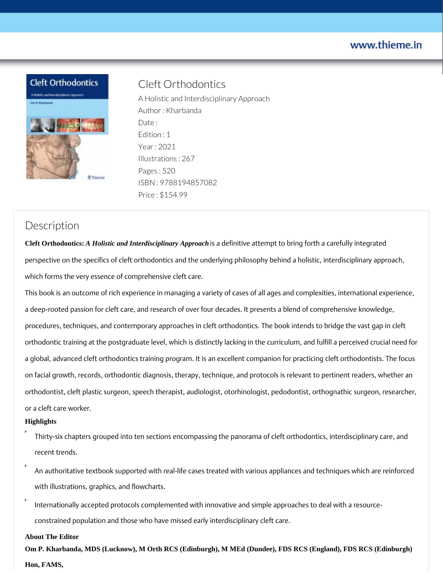## www.thieme.in





# Cleft Orthodontics

A Holistic and Interdisciplinary Approach Author : Kharbanda Date: Edition : 1 Year : 2021 Illustrations : 267 Pages : 520 ISBN : 9788194857082 Price : \$154.99

## **Description**

**Cleft Orthodontics:** *A Holistic and Interdisciplinary Approach* is a definitive attempt to bring forth a carefully integrated perspective on the specifics of cleft orthodontics and the underlying philosophy behind a holistic, interdisciplinary approach, which forms the very essence of comprehensive cleft care.

This book is an outcome of rich experience in managing a variety of cases of all ages and complexities, international experience, a deep-rooted passion for cleft care, and research of over four decades. It presents a blend of comprehensive knowledge, procedures, techniques, and contemporary approaches in cleft orthodontics. The book intends to bridge the vast gap in cleft orthodontic training at the postgraduate level, which is distinctly lacking in the curriculum, and fulfill a perceived crucial need for a global, advanced cleft orthodontics training program. It is an excellent companion for practicing cleft orthodontists. The focus on facial growth, records, orthodontic diagnosis, therapy, technique, and protocols is relevant to pertinent readers, whether an orthodontist, cleft plastic surgeon, speech therapist, audiologist, otorhinologist, pedodontist, orthognathic surgeon, researcher, or a cleft care worker.

#### **Highlights**

- Thirty-six chapters grouped into ten sections encompassing the panorama of cleft orthodontics, interdisciplinary care, and recent trends.
- An authoritative textbook supported with real-life cases treated with various appliances and techniques which are reinforced with illustrations, graphics, and flowcharts.
- Internationally accepted protocols complemented with innovative and simple approaches to deal with a resourceconstrained population and those who have missed early interdisciplinary cleft care.

#### **About The Editor**

**Om P. Kharbanda, MDS (Lucknow), M Orth RCS (Edinburgh), M MEd (Dundee), FDS RCS (England), FDS RCS (Edinburgh) Hon, FAMS,**